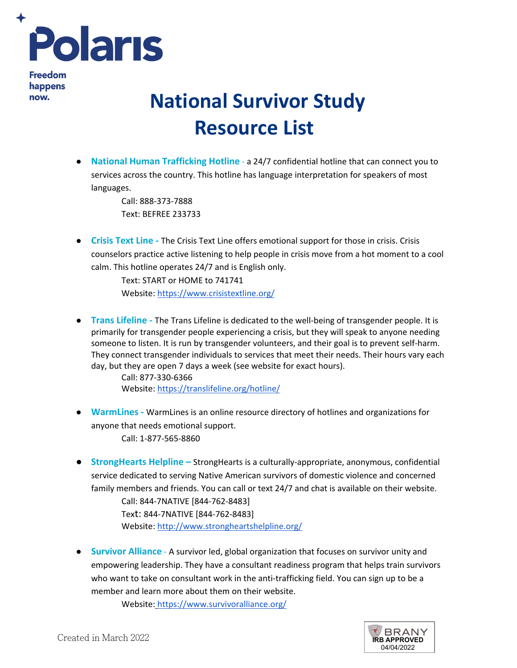

**Freedom** happens now.

## **National Survivor Study Resource List**

● **National Human Trafficking Hotline** - a 24/7 confidential hotline that can connect you to services across the country. This hotline has language interpretation for speakers of most languages.

> Call: 888-373-7888 Text: BEFREE 233733

● **Crisis Text Line -** The Crisis Text Line offers emotional support for those in crisis. Crisis counselors practice active listening to help people in crisis move from a hot moment to a cool calm. This hotline operates 24/7 and is English only.

> Text: START or HOME to 741741 Website:<https://www.crisistextline.org/>

● **Trans Lifeline -** The Trans Lifeline is dedicated to the well-being of transgender people. It is primarily for transgender people experiencing a crisis, but they will speak to anyone needing someone to listen. It is run by transgender volunteers, and their goal is to prevent self-harm. They connect transgender individuals to services that meet their needs. Their hours vary each day, but they are open 7 days a week (see website for exact hours).

> Call: 877-330-6366 Website:<https://translifeline.org/hotline/>

- **WarmLines** WarmLines is an online resource directory of hotlines and organizations for anyone that needs emotional support. Call: 1-877-565-8860
- **StrongHearts Helpline** StrongHearts is a culturally-appropriate, anonymous, confidential service dedicated to serving Native American survivors of domestic violence and concerned family members and friends. You can call or text 24/7 and chat is available on their website.

Call: 844-7NATIVE [844-762-8483] Text: 844-7NATIVE [844-762-8483] Website:<http://www.strongheartshelpline.org/>

● **Survivor Alliance** - A survivor led, global organization that focuses on survivor unity and empowering leadership. They have a consultant readiness program that helps train survivors who want to take on consultant work in the anti-trafficking field. You can sign up to be a member and learn more about them on their website.

Website:<https://www.survivoralliance.org/>